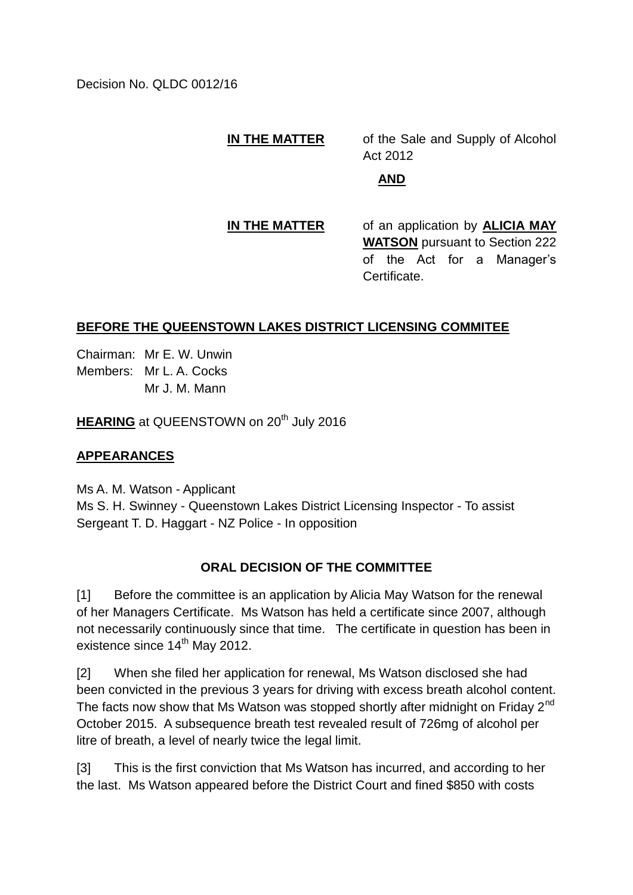Decision No. QLDC 0012/16

## **IN THE MATTER** of the Sale and Supply of Alcohol Act 2012 **AND**

**IN THE MATTER** of an application by **ALICIA MAY WATSON** pursuant to Section 222 of the Act for a Manager's Certificate.

## **BEFORE THE QUEENSTOWN LAKES DISTRICT LICENSING COMMITEE**

Chairman: Mr E. W. Unwin Members: Mr L. A. Cocks Mr J. M. Mann

**HEARING** at QUEENSTOWN on 20<sup>th</sup> July 2016

## **APPEARANCES**

Ms A. M. Watson - Applicant Ms S. H. Swinney - Queenstown Lakes District Licensing Inspector - To assist Sergeant T. D. Haggart - NZ Police - In opposition

## **ORAL DECISION OF THE COMMITTEE**

[1] Before the committee is an application by Alicia May Watson for the renewal of her Managers Certificate. Ms Watson has held a certificate since 2007, although not necessarily continuously since that time. The certificate in question has been in existence since 14<sup>th</sup> May 2012.

[2] When she filed her application for renewal, Ms Watson disclosed she had been convicted in the previous 3 years for driving with excess breath alcohol content. The facts now show that Ms Watson was stopped shortly after midnight on Friday  $2^{nd}$ October 2015. A subsequence breath test revealed result of 726mg of alcohol per litre of breath, a level of nearly twice the legal limit.

[3] This is the first conviction that Ms Watson has incurred, and according to her the last. Ms Watson appeared before the District Court and fined \$850 with costs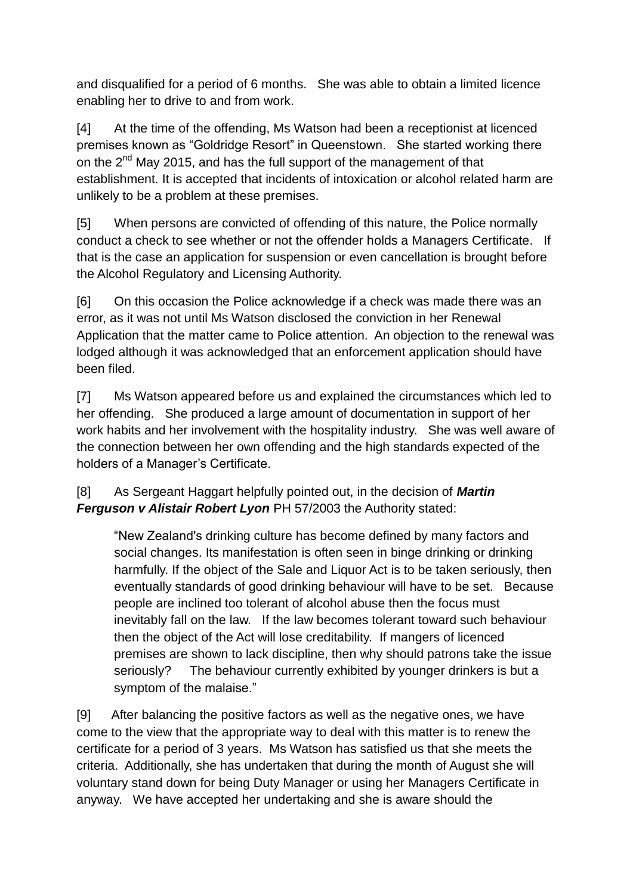and disqualified for a period of 6 months. She was able to obtain a limited licence enabling her to drive to and from work.

[4] At the time of the offending, Ms Watson had been a receptionist at licenced premises known as "Goldridge Resort" in Queenstown. She started working there on the 2<sup>nd</sup> May 2015, and has the full support of the management of that establishment. It is accepted that incidents of intoxication or alcohol related harm are unlikely to be a problem at these premises.

[5] When persons are convicted of offending of this nature, the Police normally conduct a check to see whether or not the offender holds a Managers Certificate. If that is the case an application for suspension or even cancellation is brought before the Alcohol Regulatory and Licensing Authority.

[6] On this occasion the Police acknowledge if a check was made there was an error, as it was not until Ms Watson disclosed the conviction in her Renewal Application that the matter came to Police attention. An objection to the renewal was lodged although it was acknowledged that an enforcement application should have been filed.

[7] Ms Watson appeared before us and explained the circumstances which led to her offending. She produced a large amount of documentation in support of her work habits and her involvement with the hospitality industry. She was well aware of the connection between her own offending and the high standards expected of the holders of a Manager's Certificate.

[8] As Sergeant Haggart helpfully pointed out, in the decision of *Martin*  **Ferguson v Alistair Robert Lyon PH 57/2003 the Authority stated:** 

"New Zealand's drinking culture has become defined by many factors and social changes. Its manifestation is often seen in binge drinking or drinking harmfully. If the object of the Sale and Liquor Act is to be taken seriously, then eventually standards of good drinking behaviour will have to be set. Because people are inclined too tolerant of alcohol abuse then the focus must inevitably fall on the law. If the law becomes tolerant toward such behaviour then the object of the Act will lose creditability. If mangers of licenced premises are shown to lack discipline, then why should patrons take the issue seriously? The behaviour currently exhibited by younger drinkers is but a symptom of the malaise."

[9] After balancing the positive factors as well as the negative ones, we have come to the view that the appropriate way to deal with this matter is to renew the certificate for a period of 3 years. Ms Watson has satisfied us that she meets the criteria. Additionally, she has undertaken that during the month of August she will voluntary stand down for being Duty Manager or using her Managers Certificate in anyway. We have accepted her undertaking and she is aware should the